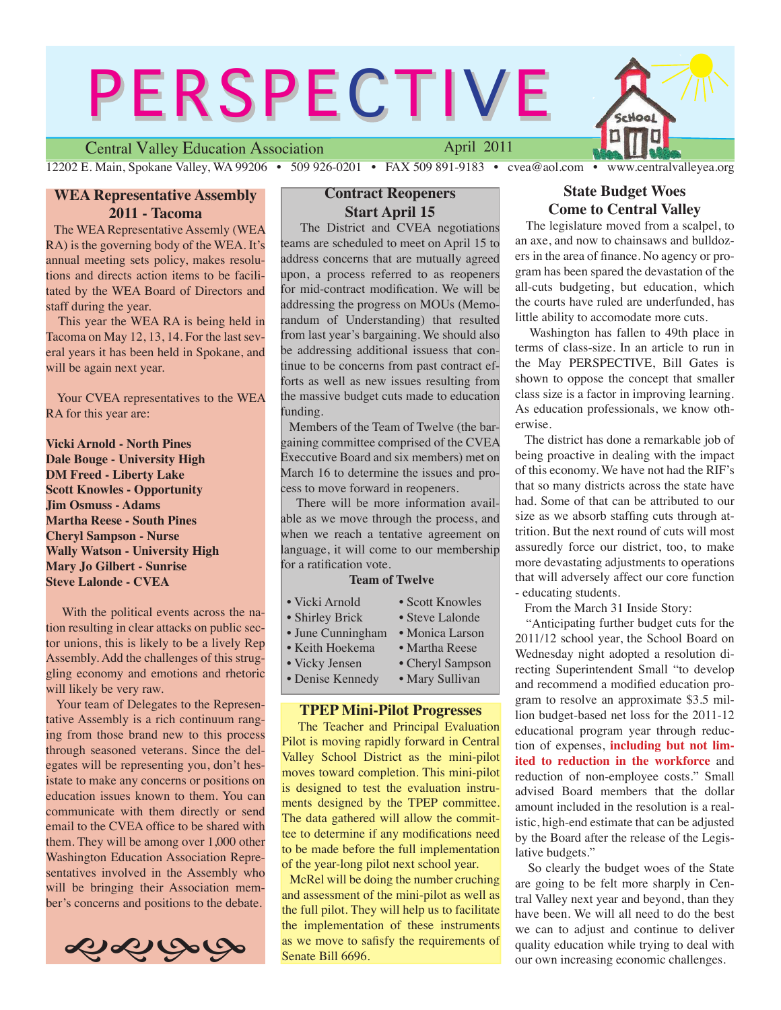# **PERSPECTIVE** chool

Central Valley Education Association

April 2011

12202 E. Main, Spokane Valley, WA 99206 • 509 926-0201 • FAX 509 891-9183 • cvea@aol.com • www.centralvalleyea.org

# **WEA Representative Assembly 2011 - Tacoma**

 The WEA Representative Assemly (WEA RA) is the governing body of the WEA. It's annual meeting sets policy, makes resolutions and directs action items to be facilitated by the WEA Board of Directors and staff during the year.

 This year the WEA RA is being held in Tacoma on May 12, 13, 14. For the last several years it has been held in Spokane, and will be again next year.

 Your CVEA representatives to the WEA RA for this year are:

**Vicki Arnold - North Pines Dale Bouge - University High DM Freed - Liberty Lake Scott Knowles - Opportunity Jim Osmuss - Adams Martha Reese - South Pines Cheryl Sampson - Nurse Wally Watson - University High Mary Jo Gilbert - Sunrise Steve Lalonde - CVEA**

 With the political events across the nation resulting in clear attacks on public sector unions, this is likely to be a lively Rep Assembly. Add the challenges of this struggling economy and emotions and rhetoric will likely be very raw.

 Your team of Delegates to the Representative Assembly is a rich continuum ranging from those brand new to this process through seasoned veterans. Since the delegates will be representing you, don't hesistate to make any concerns or positions on education issues known to them. You can communicate with them directly or send email to the CVEA office to be shared with them. They will be among over 1,000 other Washington Education Association Representatives involved in the Assembly who will be bringing their Association member's concerns and positions to the debate.



# **Contract Reopeners Start April 15**

 The District and CVEA negotiations teams are scheduled to meet on April 15 to address concerns that are mutually agreed upon, a process referred to as reopeners for mid-contract modification. We will be addressing the progress on MOUs (Memorandum of Understanding) that resulted from last year's bargaining. We should also be addressing additional issuess that continue to be concerns from past contract efforts as well as new issues resulting from the massive budget cuts made to education funding.

 Members of the Team of Twelve (the bargaining committee comprised of the CVEA Execcutive Board and six members) met on March 16 to determine the issues and process to move forward in reopeners.

 There will be more information available as we move through the process, and when we reach a tentative agreement on language, it will come to our membership for a ratification vote.

#### **Team of Twelve**

| • Vicki Arnold    | • Scott Knowles  |
|-------------------|------------------|
| • Shirley Brick   | • Steve Lalonde  |
| · June Cunningham | · Monica Larson  |
| • Keith Hoekema   | • Martha Reese   |
| • Vicky Jensen    | • Cheryl Sampson |
| • Denise Kennedy  | • Mary Sullivan  |

### **TPEP Mini-Pilot Progresses**

 The Teacher and Principal Evaluation Pilot is moving rapidly forward in Central Valley School District as the mini-pilot moves toward completion. This mini-pilot is designed to test the evaluation instruments designed by the TPEP committee. The data gathered will allow the committee to determine if any modifications need to be made before the full implementation of the year-long pilot next school year.

 McRel will be doing the number cruching and assessment of the mini-pilot as well as the full pilot. They will help us to facilitate the implementation of these instruments as we move to safisfy the requirements of Senate Bill 6696.

# **State Budget Woes Come to Central Valley**

 The legislature moved from a scalpel, to an axe, and now to chainsaws and bulldozers in the area of finance. No agency or program has been spared the devastation of the all-cuts budgeting, but education, which the courts have ruled are underfunded, has little ability to accomodate more cuts.

 Washington has fallen to 49th place in terms of class-size. In an article to run in the May PERSPECTIVE, Bill Gates is shown to oppose the concept that smaller class size is a factor in improving learning. As education professionals, we know otherwise.

 The district has done a remarkable job of being proactive in dealing with the impact of this economy. We have not had the RIF's that so many districts across the state have had. Some of that can be attributed to our size as we absorb staffing cuts through attrition. But the next round of cuts will most assuredly force our district, too, to make more devastating adjustments to operations that will adversely affect our core function - educating students.

From the March 31 Inside Story:

 "Anticipating further budget cuts for the 2011/12 school year, the School Board on Wednesday night adopted a resolution directing Superintendent Small "to develop and recommend a modified education program to resolve an approximate \$3.5 million budget-based net loss for the 2011-12 educational program year through reduction of expenses, **including but not limited to reduction in the workforce** and reduction of non-employee costs." Small advised Board members that the dollar amount included in the resolution is a realistic, high-end estimate that can be adjusted by the Board after the release of the Legislative budgets."

 So clearly the budget woes of the State are going to be felt more sharply in Central Valley next year and beyond, than they have been. We will all need to do the best we can to adjust and continue to deliver quality education while trying to deal with our own increasing economic challenges.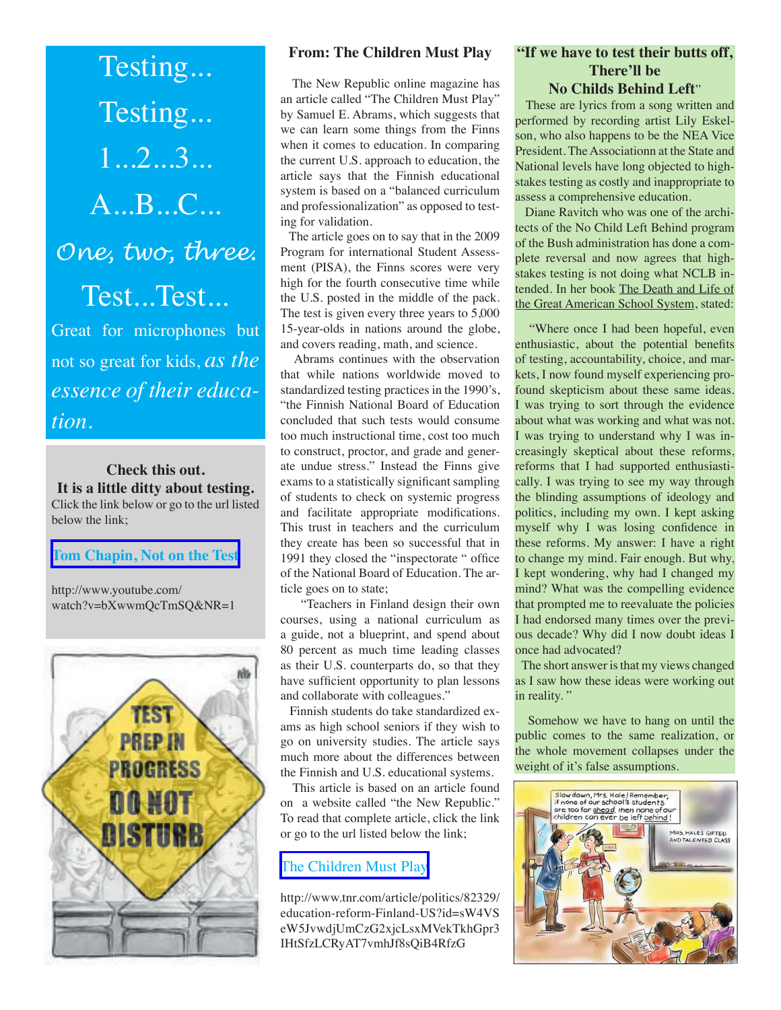Testing... Testing... 1...2...3... A...B...C... *One, two, three*. Test...Test... Great for microphones but not so great for kids, *as the essence of their education.*

**Check this out. It is a little ditty about testing.**  Click the link below or go to the url listed below the link;

#### **[Tom Chapin, Not on the Test](http://www.youtube.com/watch?v=bXwwmQcTmSQ&NR=1)**

http://www.youtube.com/ watch?v=bXwwmQcTmSQ&NR=1



#### **From: The Children Must Play**

 The New Republic online magazine has an article called "The Children Must Play" by Samuel E. Abrams, which suggests that we can learn some things from the Finns when it comes to education. In comparing the current U.S. approach to education, the article says that the Finnish educational system is based on a "balanced curriculum and professionalization" as opposed to testing for validation.

 The article goes on to say that in the 2009 Program for international Student Assessment (PISA), the Finns scores were very high for the fourth consecutive time while the U.S. posted in the middle of the pack. The test is given every three years to 5,000 15-year-olds in nations around the globe, and covers reading, math, and science.

 Abrams continues with the observation that while nations worldwide moved to standardized testing practices in the 1990's, "the Finnish National Board of Education concluded that such tests would consume too much instructional time, cost too much to construct, proctor, and grade and generate undue stress." Instead the Finns give exams to a statistically significant sampling of students to check on systemic progress and facilitate appropriate modifications. This trust in teachers and the curriculum they create has been so successful that in 1991 they closed the "inspectorate " office of the National Board of Education. The article goes on to state;

 "Teachers in Finland design their own courses, using a national curriculum as a guide, not a blueprint, and spend about 80 percent as much time leading classes as their U.S. counterparts do, so that they have sufficient opportunity to plan lessons and collaborate with colleagues."

 Finnish students do take standardized exams as high school seniors if they wish to go on university studies. The article says much more about the differences between the Finnish and U.S. educational systems.

 This article is based on an article found on a website called "the New Republic." To read that complete article, click the link or go to the url listed below the link;

# [The Children Must Play](http://www.tnr.com/article/politics/82329/education-reform-Finland-US?id=sW4VSeW5JvwdjUmCzG2xjcLsxMVekTkhGpr3IHtSfzLCRyAT7vmhJf8sQiB4RfzG)

http://www.tnr.com/article/politics/82329/ education-reform-Finland-US?id=sW4VS eW5JvwdjUmCzG2xjcLsxMVekTkhGpr3 IHtSfzLCRyAT7vmhJf8sQiB4RfzG

## **"If we have to test their butts off, There'll be No Childs Behind Left**"

 These are lyrics from a song written and performed by recording artist Lily Eskelson, who also happens to be the NEA Vice President. The Associationn at the State and National levels have long objected to highstakes testing as costly and inappropriate to assess a comprehensive education.

 Diane Ravitch who was one of the architects of the No Child Left Behind program of the Bush administration has done a complete reversal and now agrees that highstakes testing is not doing what NCLB intended. In her book The Death and Life of the Great American School System, stated:

 "Where once I had been hopeful, even enthusiastic, about the potential benefits of testing, accountability, choice, and markets, I now found myself experiencing profound skepticism about these same ideas. I was trying to sort through the evidence about what was working and what was not. I was trying to understand why I was increasingly skeptical about these reforms, reforms that I had supported enthusiastically. I was trying to see my way through the blinding assumptions of ideology and politics, including my own. I kept asking myself why I was losing confidence in these reforms. My answer: I have a right to change my mind. Fair enough. But why, I kept wondering, why had I changed my mind? What was the compelling evidence that prompted me to reevaluate the policies I had endorsed many times over the previous decade? Why did I now doubt ideas I once had advocated?

 The short answer is that my views changed as I saw how these ideas were working out in reality."

 Somehow we have to hang on until the public comes to the same realization, or the whole movement collapses under the weight of it's false assumptions.

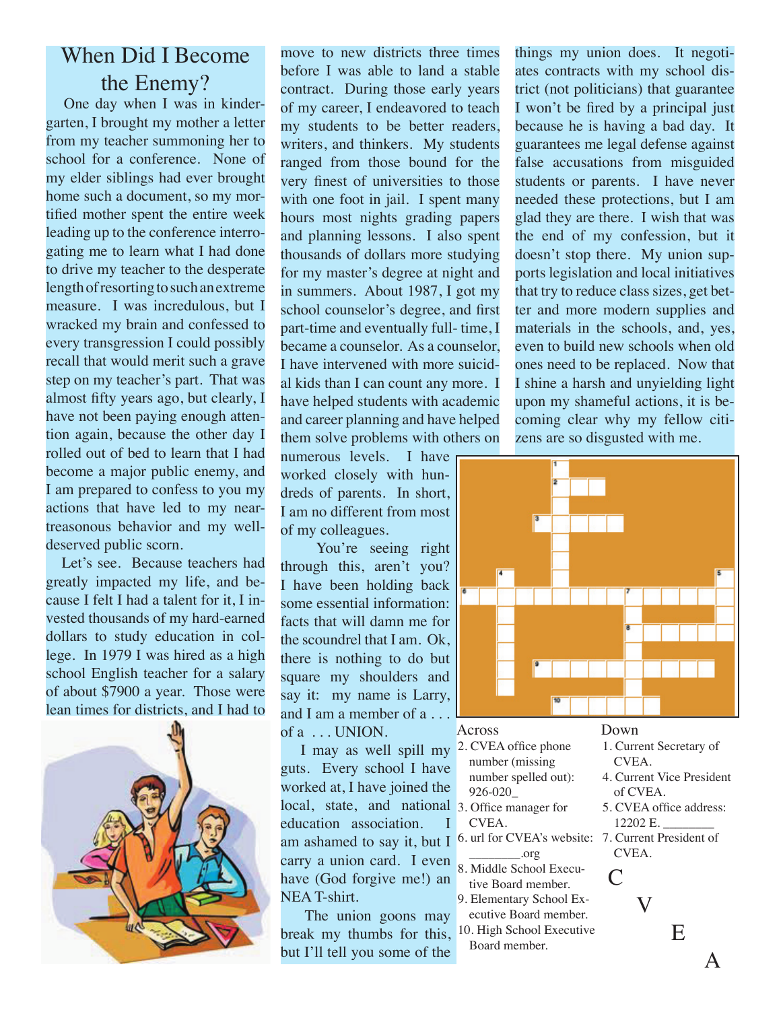# When Did I Become the Enemy?

 One day when I was in kindergarten, I brought my mother a letter from my teacher summoning her to school for a conference. None of my elder siblings had ever brought home such a document, so my mortified mother spent the entire week leading up to the conference interrogating me to learn what I had done to drive my teacher to the desperate length of resorting to such an extreme measure. I was incredulous, but I wracked my brain and confessed to every transgression I could possibly recall that would merit such a grave step on my teacher's part. That was almost fifty years ago, but clearly, I have not been paying enough attention again, because the other day I rolled out of bed to learn that I had become a major public enemy, and I am prepared to confess to you my actions that have led to my neartreasonous behavior and my welldeserved public scorn.

 Let's see. Because teachers had greatly impacted my life, and because I felt I had a talent for it, I invested thousands of my hard-earned dollars to study education in college. In 1979 I was hired as a high school English teacher for a salary of about \$7900 a year. Those were lean times for districts, and I had to



move to new districts three times before I was able to land a stable contract. During those early years of my career, I endeavored to teach my students to be better readers, writers, and thinkers. My students ranged from those bound for the very finest of universities to those with one foot in jail. I spent many hours most nights grading papers and planning lessons. I also spent thousands of dollars more studying for my master's degree at night and in summers. About 1987, I got my school counselor's degree, and first part-time and eventually full- time, I became a counselor. As a counselor, I have intervened with more suicidal kids than I can count any more. I have helped students with academic and career planning and have helped them solve problems with others on

numerous levels. I have worked closely with hundreds of parents. In short, I am no different from most of my colleagues.

You're seeing right through this, aren't you? I have been holding back some essential information: facts that will damn me for the scoundrel that I am. Ok, there is nothing to do but square my shoulders and say it: my name is Larry, and I am a member of a . . . of  $a \dots$  UNION.

I may as well spill my  $2$ . CVEA office phone guts. Every school I have worked at, I have joined the local, state, and national 3. Office manager for education association. I am ashamed to say it, but I carry a union card. I even have (God forgive me!) an NEA T-shirt.

 The union goons may break my thumbs for this, but I'll tell you some of the

things my union does. It negotiates contracts with my school district (not politicians) that guarantee I won't be fired by a principal just because he is having a bad day. It guarantees me legal defense against false accusations from misguided students or parents. I have never needed these protections, but I am glad they are there. I wish that was the end of my confession, but it doesn't stop there. My union supports legislation and local initiatives that try to reduce class sizes, get better and more modern supplies and materials in the schools, and, yes, even to build new schools when old ones need to be replaced. Now that I shine a harsh and unyielding light upon my shameful actions, it is becoming clear why my fellow citizens are so disgusted with me.



number (missing number spelled out):

\_\_\_\_\_\_\_\_.org 8. Middle School Executive Board member. 9. Elementary School Executive Board member. 10. High School Executive Board member.

926-020\_

CVEA.

- CVEA. 4. Current Vice President
	- of CVEA.
	- 5. CVEA office address: 12202 E. \_\_\_\_\_\_\_\_
- 6. url for CVEA's website: 7. Current President of CVEA.

V

 $\subset$ 

 E A